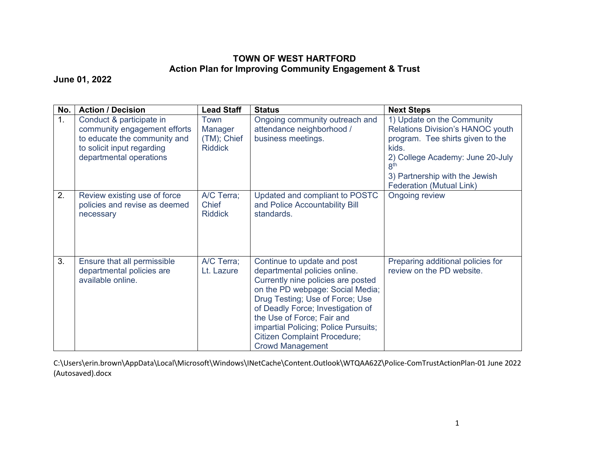## **TOWN OF WEST HARTFORD Action Plan for Improving Community Engagement & Trust**

**June 01, 2022**

| No.            | <b>Action / Decision</b>                                                                                                                          | <b>Lead Staff</b>                                | <b>Status</b>                                                                                                                                                                                                                                                                                                                                          | <b>Next Steps</b>                                                                                                                                                                                                                       |
|----------------|---------------------------------------------------------------------------------------------------------------------------------------------------|--------------------------------------------------|--------------------------------------------------------------------------------------------------------------------------------------------------------------------------------------------------------------------------------------------------------------------------------------------------------------------------------------------------------|-----------------------------------------------------------------------------------------------------------------------------------------------------------------------------------------------------------------------------------------|
| 1 <sub>1</sub> | Conduct & participate in<br>community engagement efforts<br>to educate the community and<br>to solicit input regarding<br>departmental operations | Town<br>Manager<br>(TM); Chief<br><b>Riddick</b> | Ongoing community outreach and<br>attendance neighborhood /<br>business meetings.                                                                                                                                                                                                                                                                      | 1) Update on the Community<br>Relations Division's HANOC youth<br>program. Tee shirts given to the<br>kids.<br>2) College Academy: June 20-July<br>8 <sup>th</sup><br>3) Partnership with the Jewish<br><b>Federation (Mutual Link)</b> |
| 2.             | Review existing use of force<br>policies and revise as deemed<br>necessary                                                                        | A/C Terra;<br><b>Chief</b><br><b>Riddick</b>     | Updated and compliant to POSTC<br>and Police Accountability Bill<br>standards.                                                                                                                                                                                                                                                                         | <b>Ongoing review</b>                                                                                                                                                                                                                   |
| 3.             | Ensure that all permissible<br>departmental policies are<br>available online.                                                                     | A/C Terra;<br>Lt. Lazure                         | Continue to update and post<br>departmental policies online.<br>Currently nine policies are posted<br>on the PD webpage: Social Media;<br>Drug Testing; Use of Force; Use<br>of Deadly Force; Investigation of<br>the Use of Force; Fair and<br>impartial Policing; Police Pursuits;<br><b>Citizen Complaint Procedure;</b><br><b>Crowd Management</b> | Preparing additional policies for<br>review on the PD website.                                                                                                                                                                          |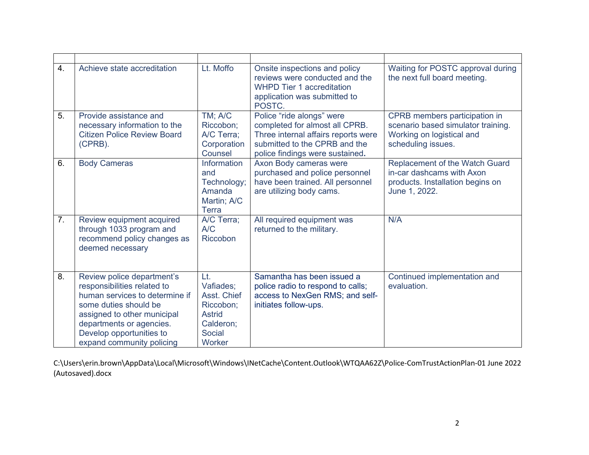| 4.             | Achieve state accreditation                                                                                                                                                                                                              | Lt. Moffo                                                                                      | Onsite inspections and policy<br>reviews were conducted and the<br><b>WHPD Tier 1 accreditation</b><br>application was submitted to<br>POSTC.                          | Waiting for POSTC approval during<br>the next full board meeting.                                                      |
|----------------|------------------------------------------------------------------------------------------------------------------------------------------------------------------------------------------------------------------------------------------|------------------------------------------------------------------------------------------------|------------------------------------------------------------------------------------------------------------------------------------------------------------------------|------------------------------------------------------------------------------------------------------------------------|
| 5.             | Provide assistance and<br>necessary information to the<br><b>Citizen Police Review Board</b><br>(CPRB).                                                                                                                                  | TM; A/C<br>Riccobon:<br>A/C Terra;<br>Corporation<br>Counsel                                   | Police "ride alongs" were<br>completed for almost all CPRB.<br>Three internal affairs reports were<br>submitted to the CPRB and the<br>police findings were sustained. | CPRB members participation in<br>scenario based simulator training.<br>Working on logistical and<br>scheduling issues. |
| 6.             | <b>Body Cameras</b>                                                                                                                                                                                                                      | <b>Information</b><br>and<br>Technology;<br>Amanda<br>Martin; A/C<br><b>Terra</b>              | Axon Body cameras were<br>purchased and police personnel<br>have been trained. All personnel<br>are utilizing body cams.                                               | Replacement of the Watch Guard<br>in-car dashcams with Axon<br>products. Installation begins on<br>June 1, 2022.       |
| 7 <sub>1</sub> | Review equipment acquired<br>through 1033 program and<br>recommend policy changes as<br>deemed necessary                                                                                                                                 | A/C Terra;<br>A/C<br>Riccobon                                                                  | All required equipment was<br>returned to the military.                                                                                                                | N/A                                                                                                                    |
| 8.             | Review police department's<br>responsibilities related to<br>human services to determine if<br>some duties should be<br>assigned to other municipal<br>departments or agencies.<br>Develop opportunities to<br>expand community policing | Lt.<br>Vafiades;<br>Asst. Chief<br>Riccobon;<br><b>Astrid</b><br>Calderon;<br>Social<br>Worker | Samantha has been issued a<br>police radio to respond to calls;<br>access to NexGen RMS; and self-<br>initiates follow-ups.                                            | Continued implementation and<br>evaluation.                                                                            |